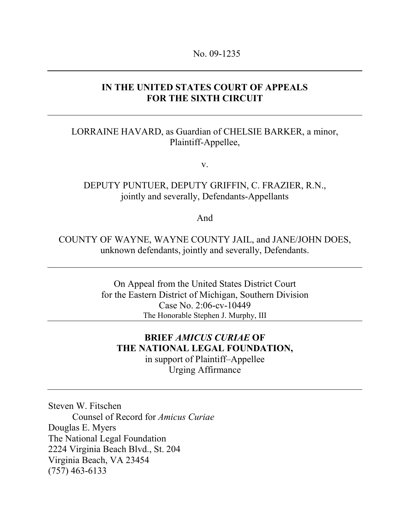### **IN THE UNITED STATES COURT OF APPEALS FOR THE SIXTH CIRCUIT**

### LORRAINE HAVARD, as Guardian of CHELSIE BARKER, a minor, Plaintiff-Appellee,

v.

## DEPUTY PUNTUER, DEPUTY GRIFFIN, C. FRAZIER, R.N., jointly and severally, Defendants-Appellants

And

COUNTY OF WAYNE, WAYNE COUNTY JAIL, and JANE/JOHN DOES, unknown defendants, jointly and severally, Defendants.

> On Appeal from the United States District Court for the Eastern District of Michigan, Southern Division Case No. 2:06-cv-10449 The Honorable Stephen J. Murphy, III

## **BRIEF** *AMICUS CURIAE* **OF THE NATIONAL LEGAL FOUNDATION,**  in support of Plaintiff–Appellee Urging Affirmance

Steven W. Fitschen Counsel of Record for *Amicus Curiae* Douglas E. Myers The National Legal Foundation 2224 Virginia Beach Blvd., St. 204 Virginia Beach, VA 23454 (757) 463-6133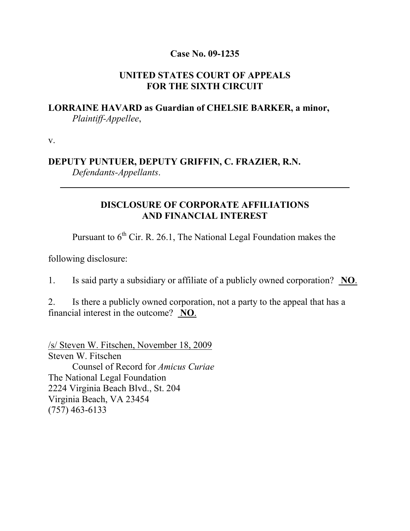### **Case No. 09-1235**

## **UNITED STATES COURT OF APPEALS FOR THE SIXTH CIRCUIT**

## **LORRAINE HAVARD as Guardian of CHELSIE BARKER, a minor,**  *Plaintiff-Appellee*,

v.

 $\overline{a}$ 

## **DEPUTY PUNTUER, DEPUTY GRIFFIN, C. FRAZIER, R.N.**  *Defendants-Appellants*.

## **DISCLOSURE OF CORPORATE AFFILIATIONS AND FINANCIAL INTEREST**

Pursuant to  $6<sup>th</sup>$  Cir. R. 26.1, The National Legal Foundation makes the

following disclosure:

1. Is said party a subsidiary or affiliate of a publicly owned corporation? **NO**.

2. Is there a publicly owned corporation, not a party to the appeal that has a financial interest in the outcome? **NO**.

/s/ Steven W. Fitschen, November 18, 2009 Steven W. Fitschen Counsel of Record for *Amicus Curiae* The National Legal Foundation 2224 Virginia Beach Blvd., St. 204 Virginia Beach, VA 23454 (757) 463-6133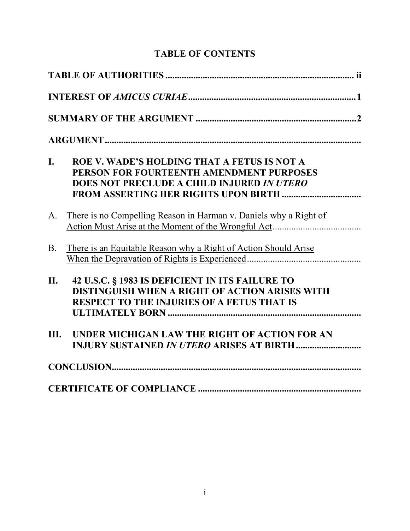# **TABLE OF CONTENTS**

| I.          | ROE V. WADE'S HOLDING THAT A FETUS IS NOT A<br>PERSON FOR FOURTEENTH AMENDMENT PURPOSES<br>DOES NOT PRECLUDE A CHILD INJURED IN UTERO                  |
|-------------|--------------------------------------------------------------------------------------------------------------------------------------------------------|
| $A_{\cdot}$ | There is no Compelling Reason in Harman v. Daniels why a Right of                                                                                      |
| <b>B.</b>   | <u>There is an Equitable Reason why a Right of Action Should Arise</u>                                                                                 |
| II.         | 42 U.S.C. § 1983 IS DEFICIENT IN ITS FAILURE TO<br>DISTINGUISH WHEN A RIGHT OF ACTION ARISES WITH<br><b>RESPECT TO THE INJURIES OF A FETUS THAT IS</b> |
| III.        | UNDER MICHIGAN LAW THE RIGHT OF ACTION FOR AN<br><b>INJURY SUSTAINED IN UTERO ARISES AT BIRTH </b>                                                     |
|             |                                                                                                                                                        |
|             |                                                                                                                                                        |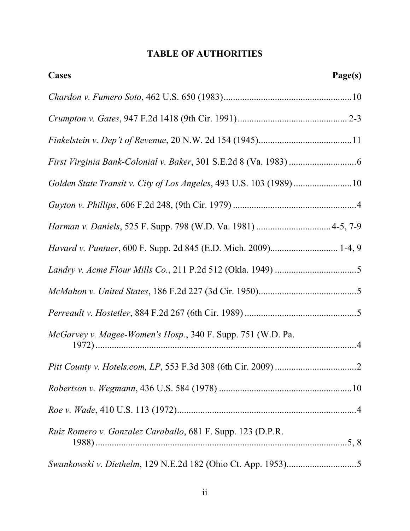## **TABLE OF AUTHORITIES**

| <b>Cases</b>                                                       | Page(s) |
|--------------------------------------------------------------------|---------|
|                                                                    |         |
|                                                                    |         |
|                                                                    |         |
|                                                                    |         |
| Golden State Transit v. City of Los Angeles, 493 U.S. 103 (1989)10 |         |
|                                                                    |         |
| Harman v. Daniels, 525 F. Supp. 798 (W.D. Va. 1981)  4-5, 7-9      |         |
| Havard v. Puntuer, 600 F. Supp. 2d 845 (E.D. Mich. 2009) 1-4, 9    |         |
|                                                                    |         |
|                                                                    |         |
|                                                                    |         |
| McGarvey v. Magee-Women's Hosp., 340 F. Supp. 751 (W.D. Pa.        |         |
|                                                                    |         |
|                                                                    |         |
|                                                                    |         |
| Ruiz Romero v. Gonzalez Caraballo, 681 F. Supp. 123 (D.P.R.        |         |
|                                                                    |         |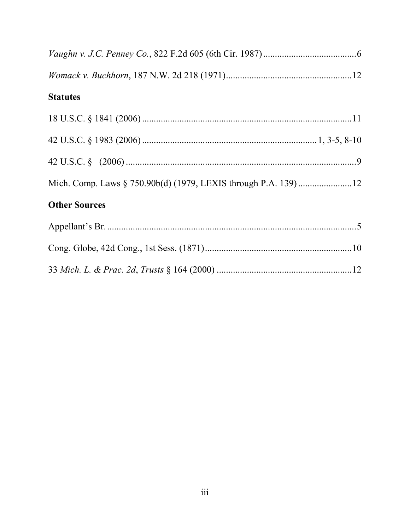| <b>Statutes</b>                                                |  |
|----------------------------------------------------------------|--|
|                                                                |  |
|                                                                |  |
|                                                                |  |
| Mich. Comp. Laws § 750.90b(d) (1979, LEXIS through P.A. 139)12 |  |
| <b>Other Sources</b>                                           |  |
|                                                                |  |
|                                                                |  |
|                                                                |  |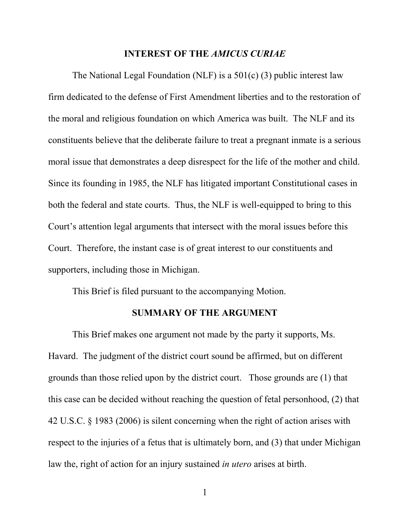#### **INTEREST OF THE** *AMICUS CURIAE*

The National Legal Foundation (NLF) is a 501(c) (3) public interest law firm dedicated to the defense of First Amendment liberties and to the restoration of the moral and religious foundation on which America was built. The NLF and its constituents believe that the deliberate failure to treat a pregnant inmate is a serious moral issue that demonstrates a deep disrespect for the life of the mother and child. Since its founding in 1985, the NLF has litigated important Constitutional cases in both the federal and state courts. Thus, the NLF is well-equipped to bring to this Court's attention legal arguments that intersect with the moral issues before this Court. Therefore, the instant case is of great interest to our constituents and supporters, including those in Michigan.

This Brief is filed pursuant to the accompanying Motion.

#### **SUMMARY OF THE ARGUMENT**

This Brief makes one argument not made by the party it supports, Ms. Havard. The judgment of the district court sound be affirmed, but on different grounds than those relied upon by the district court. Those grounds are (1) that this case can be decided without reaching the question of fetal personhood, (2) that 42 U.S.C. § 1983 (2006) is silent concerning when the right of action arises with respect to the injuries of a fetus that is ultimately born, and (3) that under Michigan law the, right of action for an injury sustained *in utero* arises at birth.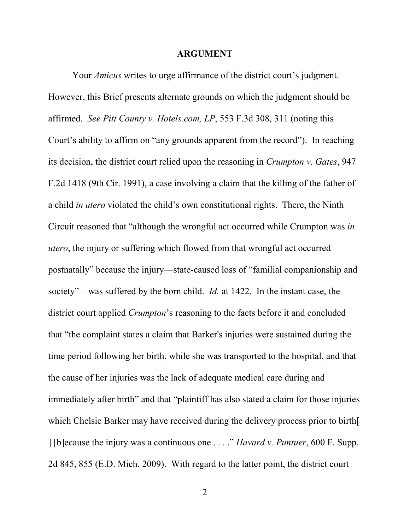#### **ARGUMENT**

Your *Amicus* writes to urge affirmance of the district court's judgment. However, this Brief presents alternate grounds on which the judgment should be affirmed. *See Pitt County v. Hotels.com, LP*, 553 F.3d 308, 311 (noting this Court's ability to affirm on "any grounds apparent from the record"). In reaching its decision, the district court relied upon the reasoning in *Crumpton v. Gates*, 947 F.2d 1418 (9th Cir. 1991), a case involving a claim that the killing of the father of a child *in utero* violated the child's own constitutional rights. There, the Ninth Circuit reasoned that "although the wrongful act occurred while Crumpton was *in utero*, the injury or suffering which flowed from that wrongful act occurred postnatally" because the injury—state-caused loss of "familial companionship and society"—was suffered by the born child. *Id.* at 1422. In the instant case, the district court applied *Crumpton*'s reasoning to the facts before it and concluded that "the complaint states a claim that Barker's injuries were sustained during the time period following her birth, while she was transported to the hospital, and that the cause of her injuries was the lack of adequate medical care during and immediately after birth" and that "plaintiff has also stated a claim for those injuries which Chelsie Barker may have received during the delivery process prior to birth[ ] [b]ecause the injury was a continuous one . . . ." *Havard v. Puntuer*, 600 F. Supp. 2d 845, 855 (E.D. Mich. 2009). With regard to the latter point, the district court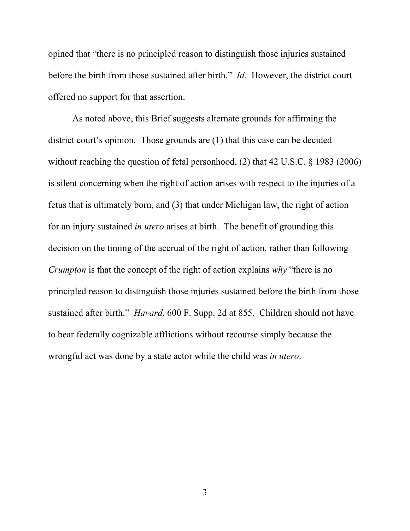opined that "there is no principled reason to distinguish those injuries sustained before the birth from those sustained after birth." *Id*. However, the district court offered no support for that assertion.

As noted above, this Brief suggests alternate grounds for affirming the district court's opinion. Those grounds are (1) that this case can be decided without reaching the question of fetal personhood, (2) that 42 U.S.C. § 1983 (2006) is silent concerning when the right of action arises with respect to the injuries of a fetus that is ultimately born, and (3) that under Michigan law, the right of action for an injury sustained *in utero* arises at birth. The benefit of grounding this decision on the timing of the accrual of the right of action, rather than following *Crumpton* is that the concept of the right of action explains *why* "there is no principled reason to distinguish those injuries sustained before the birth from those sustained after birth." *Havard*, 600 F. Supp. 2d at 855. Children should not have to bear federally cognizable afflictions without recourse simply because the wrongful act was done by a state actor while the child was *in utero*.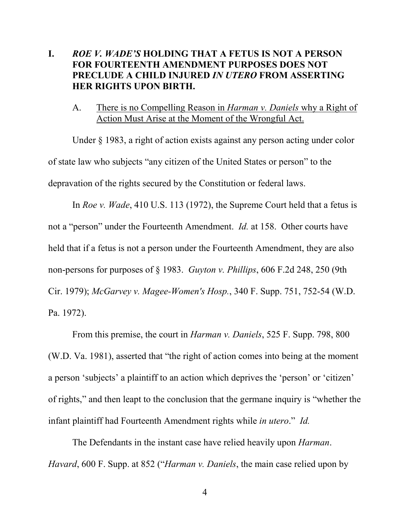## **I.** *ROE V. WADE'S* **HOLDING THAT A FETUS IS NOT A PERSON FOR FOURTEENTH AMENDMENT PURPOSES DOES NOT PRECLUDE A CHILD INJURED** *IN UTERO* **FROM ASSERTING HER RIGHTS UPON BIRTH.**

A. There is no Compelling Reason in *Harman v. Daniels* why a Right of Action Must Arise at the Moment of the Wrongful Act.

 Under § 1983, a right of action exists against any person acting under color of state law who subjects "any citizen of the United States or person" to the depravation of the rights secured by the Constitution or federal laws.

 In *Roe v. Wade*, 410 U.S. 113 (1972), the Supreme Court held that a fetus is not a "person" under the Fourteenth Amendment. *Id.* at 158. Other courts have held that if a fetus is not a person under the Fourteenth Amendment, they are also non-persons for purposes of § 1983. *Guyton v. Phillips*, 606 F.2d 248, 250 (9th Cir. 1979); *McGarvey v. Magee-Women's Hosp.*, 340 F. Supp. 751, 752-54 (W.D. Pa. 1972).

 From this premise, the court in *Harman v. Daniels*, 525 F. Supp. 798, 800 (W.D. Va. 1981), asserted that "the right of action comes into being at the moment a person 'subjects' a plaintiff to an action which deprives the 'person' or 'citizen' of rights," and then leapt to the conclusion that the germane inquiry is "whether the infant plaintiff had Fourteenth Amendment rights while *in utero*." *Id.*

 The Defendants in the instant case have relied heavily upon *Harman*. *Havard*, 600 F. Supp. at 852 ("*Harman v. Daniels*, the main case relied upon by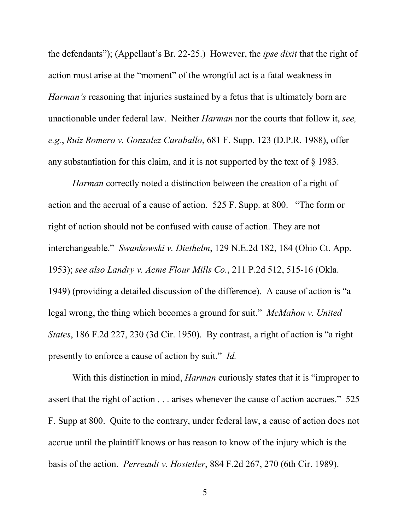the defendants"); (Appellant's Br. 22-25.) However, the *ipse dixit* that the right of action must arise at the "moment" of the wrongful act is a fatal weakness in *Harman's* reasoning that injuries sustained by a fetus that is ultimately born are unactionable under federal law. Neither *Harman* nor the courts that follow it, *see, e.g.*, *Ruiz Romero v. Gonzalez Caraballo*, 681 F. Supp. 123 (D.P.R. 1988), offer any substantiation for this claim, and it is not supported by the text of § 1983.

*Harman* correctly noted a distinction between the creation of a right of action and the accrual of a cause of action. 525 F. Supp. at 800. "The form or right of action should not be confused with cause of action. They are not interchangeable." *Swankowski v. Diethelm*, 129 N.E.2d 182, 184 (Ohio Ct. App. 1953); *see also Landry v. Acme Flour Mills Co.*, 211 P.2d 512, 515-16 (Okla. 1949) (providing a detailed discussion of the difference). A cause of action is "a legal wrong, the thing which becomes a ground for suit." *McMahon v. United States*, 186 F.2d 227, 230 (3d Cir. 1950). By contrast, a right of action is "a right presently to enforce a cause of action by suit." *Id.*

With this distinction in mind, *Harman* curiously states that it is "improper to assert that the right of action . . . arises whenever the cause of action accrues." 525 F. Supp at 800. Quite to the contrary, under federal law, a cause of action does not accrue until the plaintiff knows or has reason to know of the injury which is the basis of the action. *Perreault v. Hostetler*, 884 F.2d 267, 270 (6th Cir. 1989).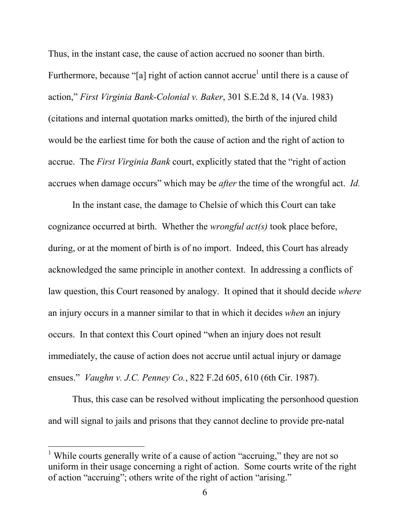Thus, in the instant case, the cause of action accrued no sooner than birth. Furthermore, because "[a] right of action cannot accrue<sup>1</sup> until there is a cause of action," *First Virginia Bank-Colonial v. Baker*, 301 S.E.2d 8, 14 (Va. 1983) (citations and internal quotation marks omitted), the birth of the injured child would be the earliest time for both the cause of action and the right of action to accrue. The *First Virginia Bank* court, explicitly stated that the "right of action accrues when damage occurs" which may be *after* the time of the wrongful act. *Id.*

 In the instant case, the damage to Chelsie of which this Court can take cognizance occurred at birth. Whether the *wrongful act(s)* took place before, during, or at the moment of birth is of no import. Indeed, this Court has already acknowledged the same principle in another context. In addressing a conflicts of law question, this Court reasoned by analogy. It opined that it should decide *where* an injury occurs in a manner similar to that in which it decides *when* an injury occurs. In that context this Court opined "when an injury does not result immediately, the cause of action does not accrue until actual injury or damage ensues." *Vaughn v. J.C. Penney Co.*, 822 F.2d 605, 610 (6th Cir. 1987).

Thus, this case can be resolved without implicating the personhood question and will signal to jails and prisons that they cannot decline to provide pre-natal

 $\overline{a}$ 

<sup>&</sup>lt;sup>1</sup> While courts generally write of a cause of action "accruing," they are not so uniform in their usage concerning a right of action. Some courts write of the right of action "accruing"; others write of the right of action "arising."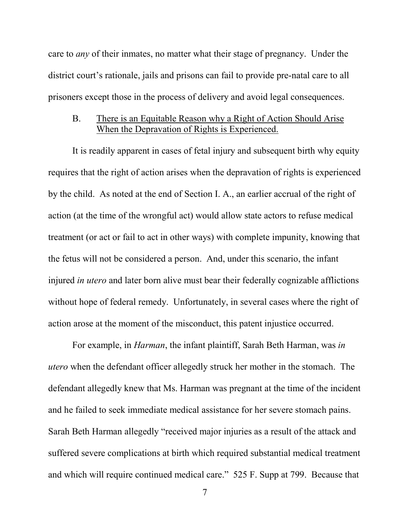care to *any* of their inmates, no matter what their stage of pregnancy. Under the district court's rationale, jails and prisons can fail to provide pre-natal care to all prisoners except those in the process of delivery and avoid legal consequences.

### B. There is an Equitable Reason why a Right of Action Should Arise When the Depravation of Rights is Experienced.

 It is readily apparent in cases of fetal injury and subsequent birth why equity requires that the right of action arises when the depravation of rights is experienced by the child. As noted at the end of Section I. A., an earlier accrual of the right of action (at the time of the wrongful act) would allow state actors to refuse medical treatment (or act or fail to act in other ways) with complete impunity, knowing that the fetus will not be considered a person. And, under this scenario, the infant injured *in utero* and later born alive must bear their federally cognizable afflictions without hope of federal remedy. Unfortunately, in several cases where the right of action arose at the moment of the misconduct, this patent injustice occurred.

 For example, in *Harman*, the infant plaintiff, Sarah Beth Harman, was *in utero* when the defendant officer allegedly struck her mother in the stomach. The defendant allegedly knew that Ms. Harman was pregnant at the time of the incident and he failed to seek immediate medical assistance for her severe stomach pains. Sarah Beth Harman allegedly "received major injuries as a result of the attack and suffered severe complications at birth which required substantial medical treatment and which will require continued medical care." 525 F. Supp at 799. Because that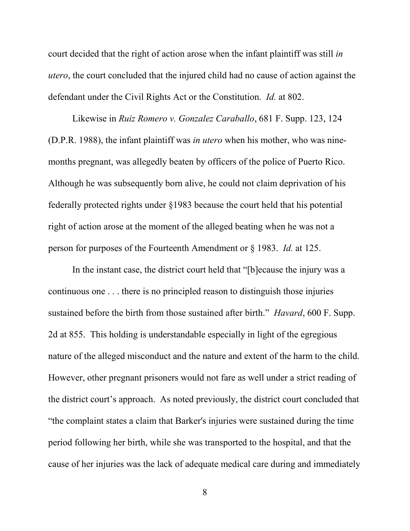court decided that the right of action arose when the infant plaintiff was still *in utero*, the court concluded that the injured child had no cause of action against the defendant under the Civil Rights Act or the Constitution. *Id.* at 802.

 Likewise in *Ruiz Romero v. Gonzalez Caraballo*, 681 F. Supp. 123, 124 (D.P.R. 1988), the infant plaintiff was *in utero* when his mother, who was ninemonths pregnant, was allegedly beaten by officers of the police of Puerto Rico. Although he was subsequently born alive, he could not claim deprivation of his federally protected rights under §1983 because the court held that his potential right of action arose at the moment of the alleged beating when he was not a person for purposes of the Fourteenth Amendment or § 1983. *Id.* at 125.

 In the instant case, the district court held that "[b]ecause the injury was a continuous one . . . there is no principled reason to distinguish those injuries sustained before the birth from those sustained after birth." *Havard*, 600 F. Supp. 2d at 855. This holding is understandable especially in light of the egregious nature of the alleged misconduct and the nature and extent of the harm to the child. However, other pregnant prisoners would not fare as well under a strict reading of the district court's approach. As noted previously, the district court concluded that "the complaint states a claim that Barker's injuries were sustained during the time period following her birth, while she was transported to the hospital, and that the cause of her injuries was the lack of adequate medical care during and immediately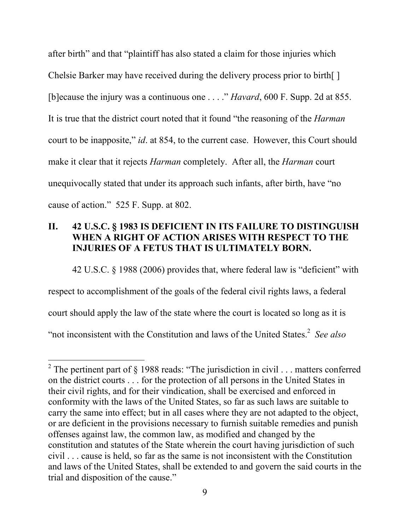after birth" and that "plaintiff has also stated a claim for those injuries which Chelsie Barker may have received during the delivery process prior to birth[ ] [b]ecause the injury was a continuous one . . . ." *Havard*, 600 F. Supp. 2d at 855. It is true that the district court noted that it found "the reasoning of the *Harman* court to be inapposite," *id*. at 854, to the current case. However, this Court should make it clear that it rejects *Harman* completely. After all, the *Harman* court unequivocally stated that under its approach such infants, after birth, have "no cause of action." 525 F. Supp. at 802.

## **II. 42 U.S.C. § 1983 IS DEFICIENT IN ITS FAILURE TO DISTINGUISH WHEN A RIGHT OF ACTION ARISES WITH RESPECT TO THE INJURIES OF A FETUS THAT IS ULTIMATELY BORN.**

 42 U.S.C. § 1988 (2006) provides that, where federal law is "deficient" with respect to accomplishment of the goals of the federal civil rights laws, a federal court should apply the law of the state where the court is located so long as it is "not inconsistent with the Constitution and laws of the United States.<sup>2</sup> See also

 $\overline{a}$ 

<sup>&</sup>lt;sup>2</sup> The pertinent part of  $\S$  1988 reads: "The jurisdiction in civil . . . matters conferred on the district courts . . . for the protection of all persons in the United States in their civil rights, and for their vindication, shall be exercised and enforced in conformity with the laws of the United States, so far as such laws are suitable to carry the same into effect; but in all cases where they are not adapted to the object, or are deficient in the provisions necessary to furnish suitable remedies and punish offenses against law, the common law, as modified and changed by the constitution and statutes of the State wherein the court having jurisdiction of such civil . . . cause is held, so far as the same is not inconsistent with the Constitution and laws of the United States, shall be extended to and govern the said courts in the trial and disposition of the cause."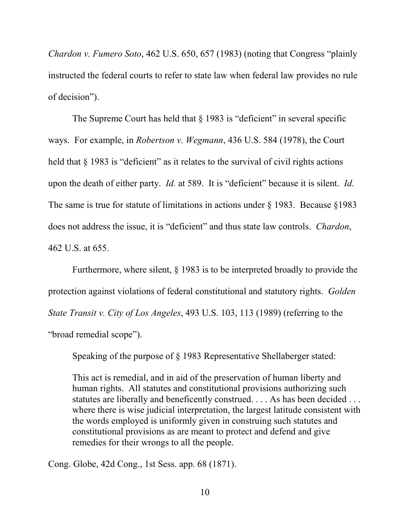*Chardon v. Fumero Soto*, 462 U.S. 650, 657 (1983) (noting that Congress "plainly instructed the federal courts to refer to state law when federal law provides no rule of decision").

The Supreme Court has held that § 1983 is "deficient" in several specific ways. For example, in *Robertson v. Wegmann*, 436 U.S. 584 (1978), the Court held that  $\S$  1983 is "deficient" as it relates to the survival of civil rights actions upon the death of either party. *Id.* at 589. It is "deficient" because it is silent. *Id*. The same is true for statute of limitations in actions under § 1983. Because §1983 does not address the issue, it is "deficient" and thus state law controls. *Chardon*, 462 U.S. at 655.

 Furthermore, where silent, § 1983 is to be interpreted broadly to provide the protection against violations of federal constitutional and statutory rights. *Golden State Transit v. City of Los Angeles*, 493 U.S. 103, 113 (1989) (referring to the "broad remedial scope").

Speaking of the purpose of § 1983 Representative Shellaberger stated:

This act is remedial, and in aid of the preservation of human liberty and human rights. All statutes and constitutional provisions authorizing such statutes are liberally and beneficently construed. . . . As has been decided . . . where there is wise judicial interpretation, the largest latitude consistent with the words employed is uniformly given in construing such statutes and constitutional provisions as are meant to protect and defend and give remedies for their wrongs to all the people.

Cong. Globe, 42d Cong., 1st Sess. app. 68 (1871).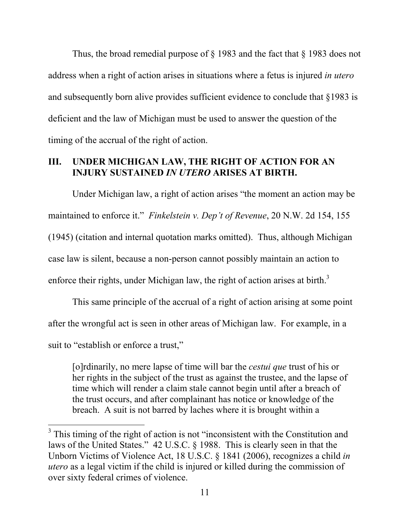Thus, the broad remedial purpose of § 1983 and the fact that § 1983 does not address when a right of action arises in situations where a fetus is injured *in utero* and subsequently born alive provides sufficient evidence to conclude that §1983 is deficient and the law of Michigan must be used to answer the question of the timing of the accrual of the right of action.

### **III. UNDER MICHIGAN LAW, THE RIGHT OF ACTION FOR AN INJURY SUSTAINED** *IN UTERO* **ARISES AT BIRTH.**

Under Michigan law, a right of action arises "the moment an action may be maintained to enforce it." *Finkelstein v. Dep't of Revenue*, 20 N.W. 2d 154, 155 (1945) (citation and internal quotation marks omitted). Thus, although Michigan case law is silent, because a non-person cannot possibly maintain an action to enforce their rights, under Michigan law, the right of action arises at birth. $3$ 

 This same principle of the accrual of a right of action arising at some point after the wrongful act is seen in other areas of Michigan law. For example, in a suit to "establish or enforce a trust,"

[o]rdinarily, no mere lapse of time will bar the *cestui que* trust of his or her rights in the subject of the trust as against the trustee, and the lapse of time which will render a claim stale cannot begin until after a breach of the trust occurs, and after complainant has notice or knowledge of the breach. A suit is not barred by laches where it is brought within a

 $\overline{a}$ 

<sup>&</sup>lt;sup>3</sup> This timing of the right of action is not "inconsistent with the Constitution and laws of the United States." 42 U.S.C. § 1988. This is clearly seen in that the Unborn Victims of Violence Act, 18 U.S.C. § 1841 (2006), recognizes a child *in utero* as a legal victim if the child is injured or killed during the commission of over sixty federal crimes of violence.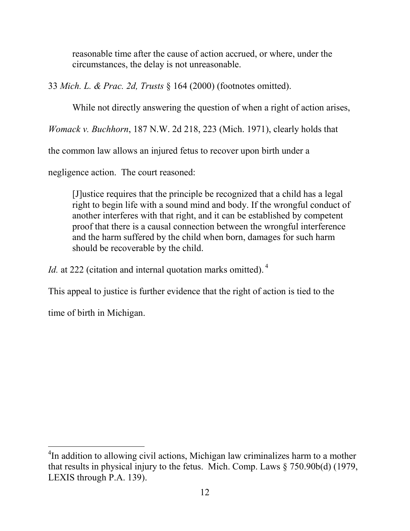reasonable time after the cause of action accrued, or where, under the circumstances, the delay is not unreasonable.

33 *Mich. L. & Prac. 2d, Trusts* § 164 (2000) (footnotes omitted).

While not directly answering the question of when a right of action arises,

*Womack v. Buchhorn*, 187 N.W. 2d 218, 223 (Mich. 1971), clearly holds that

the common law allows an injured fetus to recover upon birth under a

negligence action. The court reasoned:

[J]ustice requires that the principle be recognized that a child has a legal right to begin life with a sound mind and body. If the wrongful conduct of another interferes with that right, and it can be established by competent proof that there is a causal connection between the wrongful interference and the harm suffered by the child when born, damages for such harm should be recoverable by the child.

*Id.* at 222 (citation and internal quotation marks omitted).<sup>4</sup>

This appeal to justice is further evidence that the right of action is tied to the

time of birth in Michigan.

 $\overline{a}$ <sup>4</sup>In addition to allowing civil actions, Michigan law criminalizes harm to a mother that results in physical injury to the fetus. Mich. Comp. Laws § 750.90b(d) (1979, LEXIS through P.A. 139).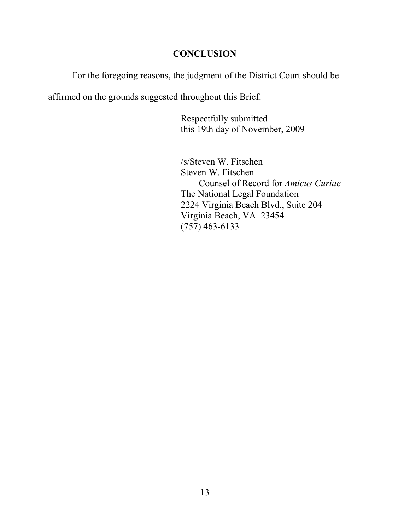## **CONCLUSION**

For the foregoing reasons, the judgment of the District Court should be

affirmed on the grounds suggested throughout this Brief.

 Respectfully submitted this 19th day of November, 2009

/s/Steven W. Fitschen Steven W. Fitschen Counsel of Record for *Amicus Curiae*  The National Legal Foundation 2224 Virginia Beach Blvd., Suite 204 Virginia Beach, VA 23454 (757) 463-6133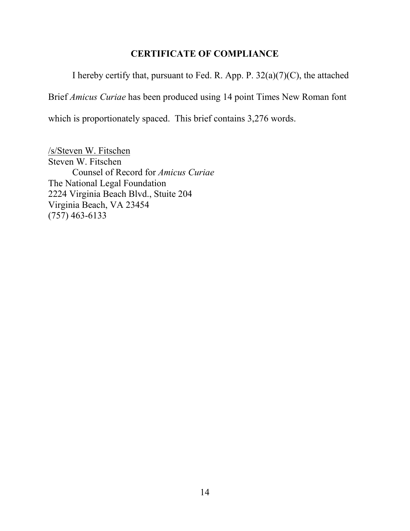## **CERTIFICATE OF COMPLIANCE**

I hereby certify that, pursuant to Fed. R. App. P.  $32(a)(7)(C)$ , the attached Brief *Amicus Curiae* has been produced using 14 point Times New Roman font which is proportionately spaced. This brief contains 3,276 words.

/s/Steven W. Fitschen Steven W. Fitschen Counsel of Record for *Amicus Curiae*  The National Legal Foundation 2224 Virginia Beach Blvd., Stuite 204 Virginia Beach, VA 23454 (757) 463-6133